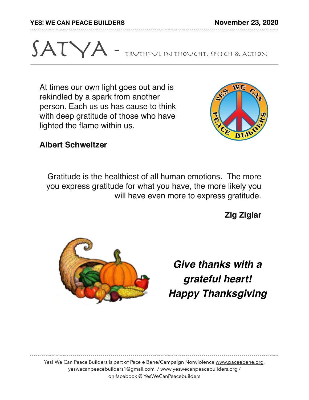**YES! WE CAN PEACE BUILDERS November 23, 2020**

## SATYA - TRUTHFUL IN THOUGHT, SPEECH & ACTION

At times our own light goes out and is rekindled by a spark from another person. Each us us has cause to think with deep gratitude of those who have lighted the flame within us.



## **Albert Schweitzer**

 Gratitude is the healthiest of all human emotions. The more you express gratitude for what you have, the more likely you will have even more to express gratitude.

**Zig Ziglar**



*Give thanks with a grateful heart! Happy Thanksgiving*

Yes! We Can Peace Builders is part of Pace e Bene/Campaign Nonviolence [www.paceebene.org](http://www.paceebene.org). yeswecanpeacebuilders1@gmail.com / www.yeswecanpeacebuilders.org / on facebook @ YesWeCanPeacebuilders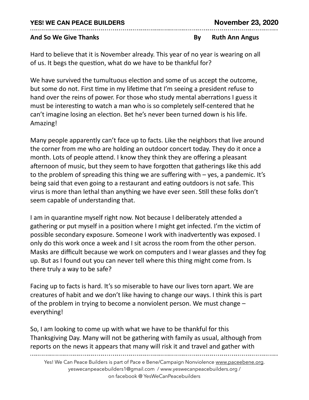And So We Give Thanks *And* So We Give Thanks *By* **By** Ruth Ann Angus

Hard to believe that it is November already. This year of no year is wearing on all of us. It begs the question, what do we have to be thankful for?

We have survived the tumultuous election and some of us accept the outcome, but some do not. First time in my lifetime that I'm seeing a president refuse to hand over the reins of power. For those who study mental aberrations I guess it must be interesting to watch a man who is so completely self-centered that he can't imagine losing an election. Bet he's never been turned down is his life. Amazing! 

Many people apparently can't face up to facts. Like the neighbors that live around the corner from me who are holding an outdoor concert today. They do it once a month. Lots of people attend. I know they think they are offering a pleasant afternoon of music, but they seem to have forgotten that gatherings like this add to the problem of spreading this thing we are suffering with  $-$  yes, a pandemic. It's being said that even going to a restaurant and eating outdoors is not safe. This virus is more than lethal than anything we have ever seen. Still these folks don't seem capable of understanding that.

I am in quarantine myself right now. Not because I deliberately attended a gathering or put myself in a position where I might get infected. I'm the victim of possible secondary exposure. Someone I work with inadvertently was exposed. I only do this work once a week and I sit across the room from the other person. Masks are difficult because we work on computers and I wear glasses and they fog up. But as I found out you can never tell where this thing might come from. Is there truly a way to be safe?

Facing up to facts is hard. It's so miserable to have our lives torn apart. We are creatures of habit and we don't like having to change our ways. I think this is part of the problem in trying to become a nonviolent person. We must change  $$ everything! 

So, I am looking to come up with what we have to be thankful for this Thanksgiving Day. Many will not be gathering with family as usual, although from reports on the news it appears that many will risk it and travel and gather with

Yes! We Can Peace Builders is part of Pace e Bene/Campaign Nonviolence [www.paceebene.org](http://www.paceebene.org). yeswecanpeacebuilders1@gmail.com / www.yeswecanpeacebuilders.org / on facebook @ YesWeCanPeacebuilders